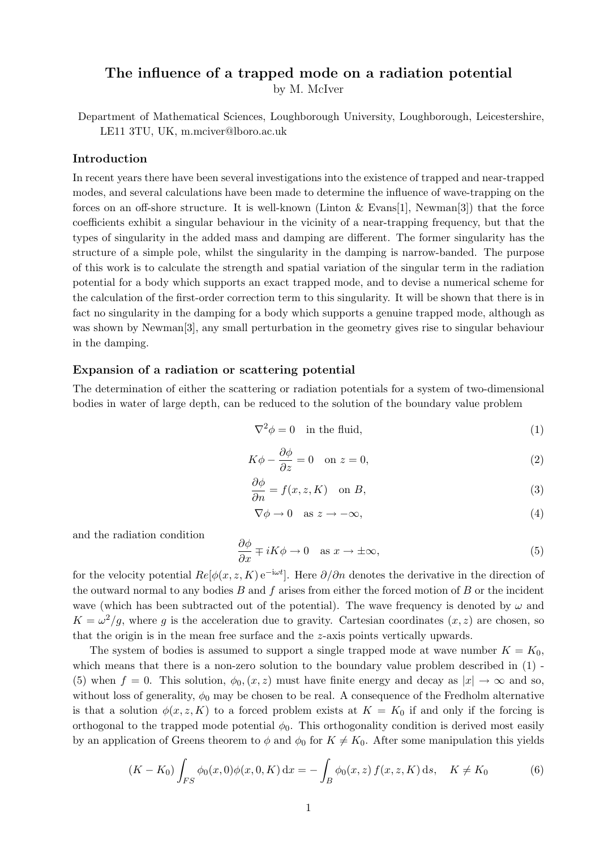# **The influence of a trapped mode on a radiation potential**

by M. McIver

Department of Mathematical Sciences, Loughborough University, Loughborough, Leicestershire, LE11 3TU, UK, m.mciver@lboro.ac.uk

### **Introduction**

In recent years there have been several investigations into the existence of trapped and near-trapped modes, and several calculations have been made to determine the influence of wave-trapping on the forces on an off-shore structure. It is well-known (Linton & Evans[1], Newman[3]) that the force coefficients exhibit a singular behaviour in the vicinity of a near-trapping frequency, but that the types of singularity in the added mass and damping are different. The former singularity has the structure of a simple pole, whilst the singularity in the damping is narrow-banded.The purpose of this work is to calculate the strength and spatial variation of the singular term in the radiation potential for a body which supports an exact trapped mode, and to devise a numerical scheme for the calculation of the first-order correction term to this singularity.It will be shown that there is in fact no singularity in the damping for a body which supports a genuine trapped mode, although as was shown by Newman[3], any small perturbation in the geometry gives rise to singular behaviour in the damping.

### **Expansion of a radiation or scattering potential**

The determination of either the scattering or radiation potentials for a system of two-dimensional bodies in water of large depth, can be reduced to the solution of the boundary value problem

$$
\nabla^2 \phi = 0 \quad \text{in the fluid}, \tag{1}
$$

$$
K\phi - \frac{\partial \phi}{\partial z} = 0 \quad \text{on } z = 0,
$$
\n<sup>(2)</sup>

$$
\frac{\partial \phi}{\partial n} = f(x, z, K) \quad \text{on } B,\tag{3}
$$

$$
\nabla \phi \to 0 \quad \text{as } z \to -\infty,
$$
 (4)

and the radiation condition

$$
\frac{\partial \phi}{\partial x} \mp iK\phi \to 0 \quad \text{as } x \to \pm \infty,
$$
 (5)

for the velocity potential  $Re[\phi(x, z, K) e^{-i\omega t}]$ . Here  $\partial/\partial n$  denotes the derivative in the direction of the outward normal to any bodies *B* and *f* arises from either the forced motion of *B* or the incident wave (which has been subtracted out of the potential). The wave frequency is denoted by  $\omega$  and  $K = \omega^2/g$ , where *g* is the acceleration due to gravity. Cartesian coordinates  $(x, z)$  are chosen, so that the origin is in the mean free surface and the *z*-axis points vertically upwards.

The system of bodies is assumed to support a single trapped mode at wave number  $K = K_0$ , which means that there is a non-zero solution to the boundary value problem described in  $(1)$ . (5) when  $f = 0$ . This solution,  $\phi_0(x, z)$  must have finite energy and decay as  $|x| \to \infty$  and so, without loss of generality,  $\phi_0$  may be chosen to be real. A consequence of the Fredholm alternative is that a solution  $\phi(x, z, K)$  to a forced problem exists at  $K = K_0$  if and only if the forcing is orthogonal to the trapped mode potential  $\phi_0$ . This orthogonality condition is derived most easily by an application of Greens theorem to  $\phi$  and  $\phi_0$  for  $K \neq K_0$ . After some manipulation this yields

$$
(K - K_0) \int_{FS} \phi_0(x, 0) \phi(x, 0, K) dx = - \int_B \phi_0(x, z) f(x, z, K) ds, \quad K \neq K_0
$$
 (6)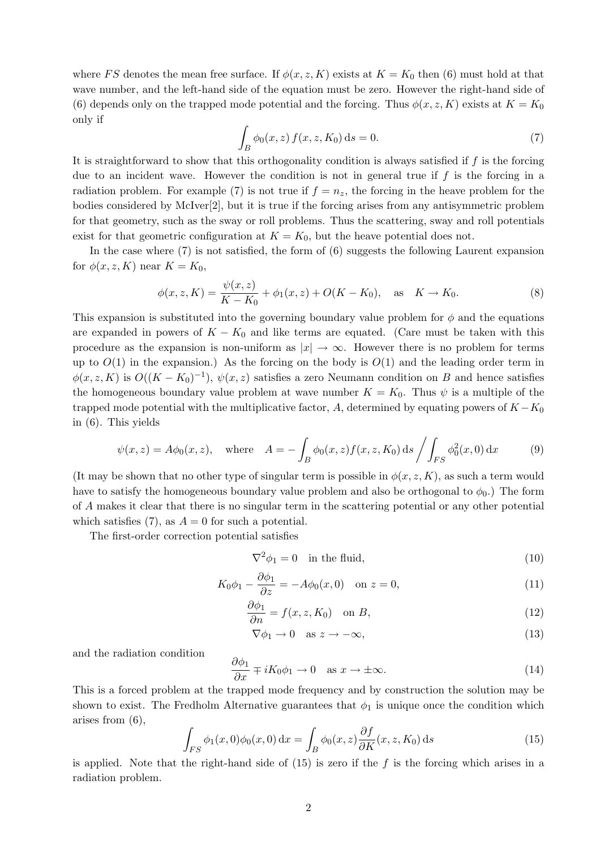where *FS* denotes the mean free surface. If  $\phi(x, z, K)$  exists at  $K = K_0$  then (6) must hold at that wave number, and the left-hand side of the equation must be zero. However the right-hand side of (6) depends only on the trapped mode potential and the forcing. Thus  $\phi(x, z, K)$  exists at  $K = K_0$ only if

$$
\int_{B} \phi_0(x, z) f(x, z, K_0) ds = 0.
$$
\n(7)

It is straightforward to show that this orthogonality condition is always satisfied if *f* is the forcing due to an incident wave. However the condition is not in general true if f is the forcing in a radiation problem. For example (7) is not true if  $f = n_z$ , the forcing in the heave problem for the bodies considered by McIver[2], but it is true if the forcing arises from any antisymmetric problem for that geometry, such as the sway or roll problems.Thus the scattering, sway and roll potentials exist for that geometric configuration at  $K = K_0$ , but the heave potential does not.

In the case where (7) is not satisfied, the form of (6) suggests the following Laurent expansion for  $\phi(x, z, K)$  near  $K = K_0$ ,

$$
\phi(x, z, K) = \frac{\psi(x, z)}{K - K_0} + \phi_1(x, z) + O(K - K_0), \quad \text{as} \quad K \to K_0.
$$
 (8)

This expansion is substituted into the governing boundary value problem for  $\phi$  and the equations are expanded in powers of  $K - K_0$  and like terms are equated. (Care must be taken with this procedure as the expansion is non-uniform as  $|x| \to \infty$ . However there is no problem for terms up to  $O(1)$  in the expansion.) As the forcing on the body is  $O(1)$  and the leading order term in  $\phi(x, z, K)$  is  $O((K - K_0)^{-1})$ ,  $\psi(x, z)$  satisfies a zero Neumann condition on *B* and hence satisfies the homogeneous boundary value problem at wave number  $K = K_0$ . Thus  $\psi$  is a multiple of the trapped mode potential with the multiplicative factor,  $A$ , determined by equating powers of  $K - K_0$ in (6).This yields

$$
\psi(x, z) = A\phi_0(x, z), \text{ where } A = -\int_B \phi_0(x, z) f(x, z, K_0) \, ds / \int_{FS} \phi_0^2(x, 0) \, dx
$$
 (9)

(It may be shown that no other type of singular term is possible in  $\phi(x, z, K)$ , as such a term would have to satisfy the homogeneous boundary value problem and also be orthogonal to  $\phi_0$ .) The form of *A* makes it clear that there is no singular term in the scattering potential or any other potential which satisfies  $(7)$ , as  $A = 0$  for such a potential.

The first-order correction potential satisfies

$$
\nabla^2 \phi_1 = 0 \quad \text{in the fluid},\tag{10}
$$

$$
K_0 \phi_1 - \frac{\partial \phi_1}{\partial z} = -A \phi_0(x, 0) \quad \text{on } z = 0,
$$
\n(11)

$$
\frac{\partial \phi_1}{\partial n} = f(x, z, K_0) \quad \text{on } B,\tag{12}
$$

$$
\nabla \phi_1 \to 0 \quad \text{as } z \to -\infty,\tag{13}
$$

and the radiation condition

$$
\frac{\partial \phi_1}{\partial x} \mp i K_0 \phi_1 \to 0 \quad \text{as } x \to \pm \infty. \tag{14}
$$

This is a forced problem at the trapped mode frequency and by construction the solution may be shown to exist. The Fredholm Alternative guarantees that  $\phi_1$  is unique once the condition which arises from (6),

$$
\int_{FS} \phi_1(x,0)\phi_0(x,0) dx = \int_B \phi_0(x,z) \frac{\partial f}{\partial K}(x,z,K_0) ds
$$
\n(15)

is applied. Note that the right-hand side of  $(15)$  is zero if the *f* is the forcing which arises in a radiation problem.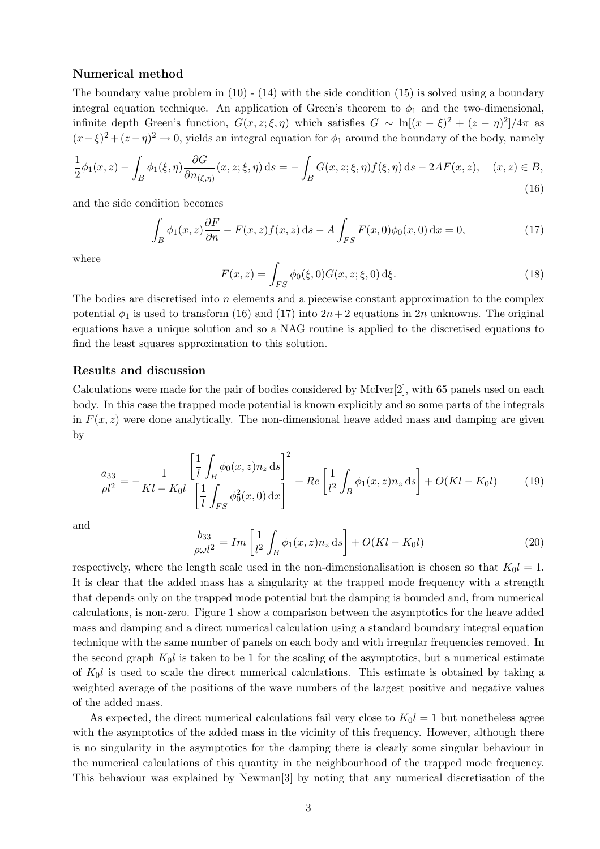### **Numerical method**

The boundary value problem in  $(10)$  -  $(14)$  with the side condition  $(15)$  is solved using a boundary integral equation technique. An application of Green's theorem to  $\phi_1$  and the two-dimensional, infinite depth Green's function,  $G(x, z; \xi, \eta)$  which satisfies  $G \sim \ln[(x - \xi)^2 + (z - \eta)^2]/4\pi$  as  $(x-\xi)^2 + (z-\eta)^2 \to 0$ , yields an integral equation for  $\phi_1$  around the boundary of the body, namely

$$
\frac{1}{2}\phi_1(x,z) - \int_B \phi_1(\xi,\eta) \frac{\partial G}{\partial n_{(\xi,\eta)}}(x,z;\xi,\eta) ds = -\int_B G(x,z;\xi,\eta) f(\xi,\eta) ds - 2AF(x,z), \quad (x,z) \in B,
$$
\n(16)

and the side condition becomes

$$
\int_{B} \phi_1(x, z) \frac{\partial F}{\partial n} - F(x, z) f(x, z) \, \mathrm{d} s - A \int_{FS} F(x, 0) \phi_0(x, 0) \, \mathrm{d} x = 0,\tag{17}
$$

where

$$
F(x,z) = \int_{FS} \phi_0(\xi,0) G(x,z;\xi,0) \,d\xi.
$$
 (18)

The bodies are discretised into *n* elements and a piecewise constant approximation to the complex potential  $\phi_1$  is used to transform (16) and (17) into  $2n+2$  equations in 2*n* unknowns. The original equations have a unique solution and so a NAG routine is applied to the discretised equations to find the least squares approximation to this solution.

### **Results and discussion**

Calculations were made for the pair of bodies considered by McIver[2], with 65 panels used on each body.In this case the trapped mode potential is known explicitly and so some parts of the integrals in  $F(x, z)$  were done analytically. The non-dimensional heave added mass and damping are given by

$$
\frac{a_{33}}{\rho l^2} = -\frac{1}{Kl - K_0 l} \frac{\left[\frac{1}{l} \int_B \phi_0(x, z) n_z \, \mathrm{d}s\right]^2}{\left[\frac{1}{l} \int_{FS} \phi_0^2(x, 0) \, \mathrm{d}x\right]} + Re\left[\frac{1}{l^2} \int_B \phi_1(x, z) n_z \, \mathrm{d}s\right] + O(Kl - K_0 l) \tag{19}
$$

and

$$
\frac{b_{33}}{\rho \omega l^2} = Im \left[ \frac{1}{l^2} \int_B \phi_1(x, z) n_z \, \mathrm{d}s \right] + O(Kl - K_0 l) \tag{20}
$$

respectively, where the length scale used in the non-dimensionalisation is chosen so that  $K_0 l = 1$ . It is clear that the added mass has a singularity at the trapped mode frequency with a strength that depends only on the trapped mode potential but the damping is bounded and, from numerical calculations, is non-zero.Figure 1 show a comparison between the asymptotics for the heave added mass and damping and a direct numerical calculation using a standard boundary integral equation technique with the same number of panels on each body and with irregular frequencies removed.In the second graph  $K_0 l$  is taken to be 1 for the scaling of the asymptotics, but a numerical estimate of *K*0*l* is used to scale the direct numerical calculations.This estimate is obtained by taking a weighted average of the positions of the wave numbers of the largest positive and negative values of the added mass.

As expected, the direct numerical calculations fail very close to  $K_0l = 1$  but nonetheless agree with the asymptotics of the added mass in the vicinity of this frequency. However, although there is no singularity in the asymptotics for the damping there is clearly some singular behaviour in the numerical calculations of this quantity in the neighbourhood of the trapped mode frequency. This behaviour was explained by Newman[3] by noting that any numerical discretisation of the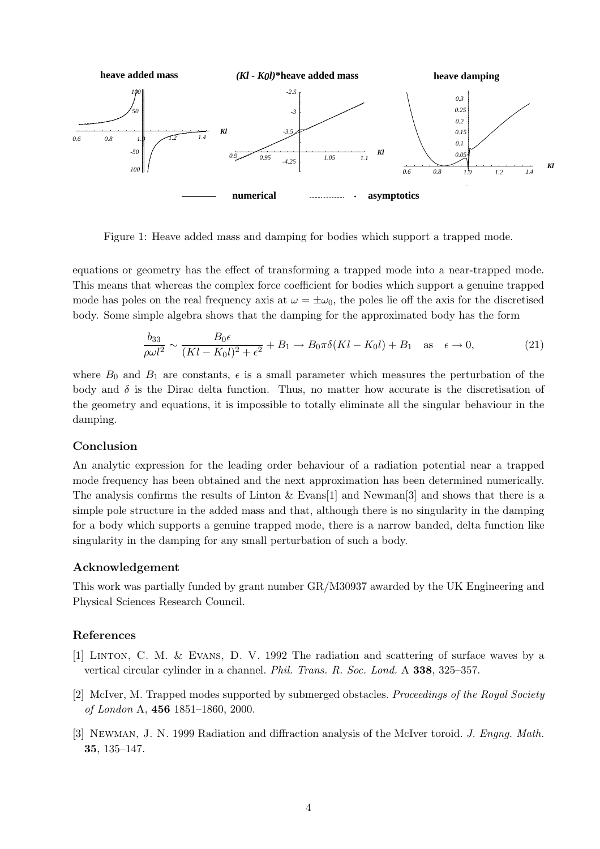

Figure 1: Heave added mass and damping for bodies which support a trapped mode.

equations or geometry has the effect of transforming a trapped mode into a near-trapped mode. This means that whereas the complex force coefficient for bodies which support a genuine trapped mode has poles on the real frequency axis at  $\omega = \pm \omega_0$ , the poles lie off the axis for the discretised body.Some simple algebra shows that the damping for the approximated body has the form

$$
\frac{b_{33}}{\rho \omega l^2} \sim \frac{B_0 \epsilon}{(Kl - K_0 l)^2 + \epsilon^2} + B_1 \to B_0 \pi \delta (Kl - K_0 l) + B_1 \quad \text{as} \quad \epsilon \to 0,
$$
\n(21)

where  $B_0$  and  $B_1$  are constants,  $\epsilon$  is a small parameter which measures the perturbation of the body and  $\delta$  is the Dirac delta function. Thus, no matter how accurate is the discretisation of the geometry and equations, it is impossible to totally eliminate all the singular behaviour in the damping.

#### **Conclusion**

An analytic expression for the leading order behaviour of a radiation potential near a trapped mode frequency has been obtained and the next approximation has been determined numerically. The analysis confirms the results of Linton  $\&$  Evans [1] and Newman [3] and shows that there is a simple pole structure in the added mass and that, although there is no singularity in the damping for a body which supports a genuine trapped mode, there is a narrow banded, delta function like singularity in the damping for any small perturbation of such a body.

#### **Acknowledgement**

This work was partially funded by grant number GR/M30937 awarded by the UK Engineering and Physical Sciences Research Council.

#### **References**

- [1] Linton, C. M. & Evans, D. V. 1992 The radiation and scattering of surface waves by a vertical circular cylinder in a channel. Phil. Trans. R. Soc. Lond. A **338**, 325–357.
- [2] McIver, M.Trapped modes supported by submerged obstacles. Proceedings of the Royal Society of London A, **456** 1851–1860, 2000.
- [3] Newman, J. N. 1999 Radiation and diffraction analysis of the McIver toroid. J. Engng. Math. **35**, 135–147.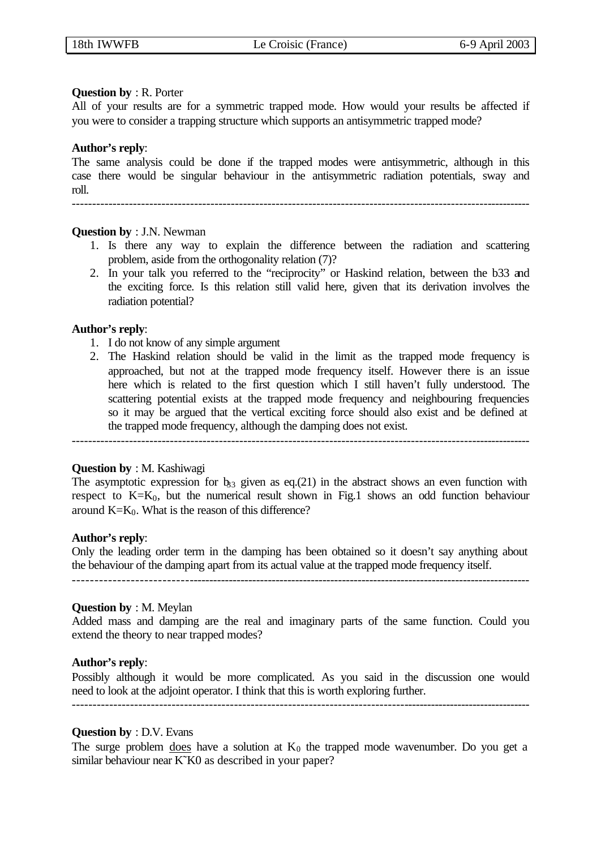## **Question by** : R. Porter

All of your results are for a symmetric trapped mode. How would your results be affected if you were to consider a trapping structure which supports an antisymmetric trapped mode?

## **Author's reply**:

The same analysis could be done if the trapped modes were antisymmetric, although in this case there would be singular behaviour in the antisymmetric radiation potentials, sway and roll.

-----------------------------------------------------------------------------------------------------------------

## **Question by** : J.N. Newman

- 1. Is there any way to explain the difference between the radiation and scattering problem, aside from the orthogonality relation (7)?
- 2. In your talk you referred to the "reciprocity" or Haskind relation, between the b33 and the exciting force. Is this relation still valid here, given that its derivation involves the radiation potential?

## **Author's reply**:

- 1. I do not know of any simple argument
- 2. The Haskind relation should be valid in the limit as the trapped mode frequency is approached, but not at the trapped mode frequency itself. However there is an issue here which is related to the first question which I still haven't fully understood. The scattering potential exists at the trapped mode frequency and neighbouring frequencies so it may be argued that the vertical exciting force should also exist and be defined at the trapped mode frequency, although the damping does not exist.

## **Question by** : M. Kashiwagi

The asymptotic expression for  $b_{33}$  given as eq.(21) in the abstract shows an even function with respect to  $K=K_0$ , but the numerical result shown in Fig.1 shows an odd function behaviour around  $K=K_0$ . What is the reason of this difference?

-----------------------------------------------------------------------------------------------------------------

## **Author's reply**:

Only the leading order term in the damping has been obtained so it doesn't say anything about the behaviour of the damping apart from its actual value at the trapped mode frequency itself. -----------------------------------------------------------------------------------------------------------------

## **Question by** : M. Meylan

Added mass and damping are the real and imaginary parts of the same function. Could you extend the theory to near trapped modes?

## **Author's reply**:

Possibly although it would be more complicated. As you said in the discussion one would need to look at the adjoint operator. I think that this is worth exploring further.

## **Question by** : D.V. Evans

The surge problem does have a solution at  $K_0$  the trapped mode wavenumber. Do you get a similar behaviour near K<sup>x</sup>K0 as described in your paper?